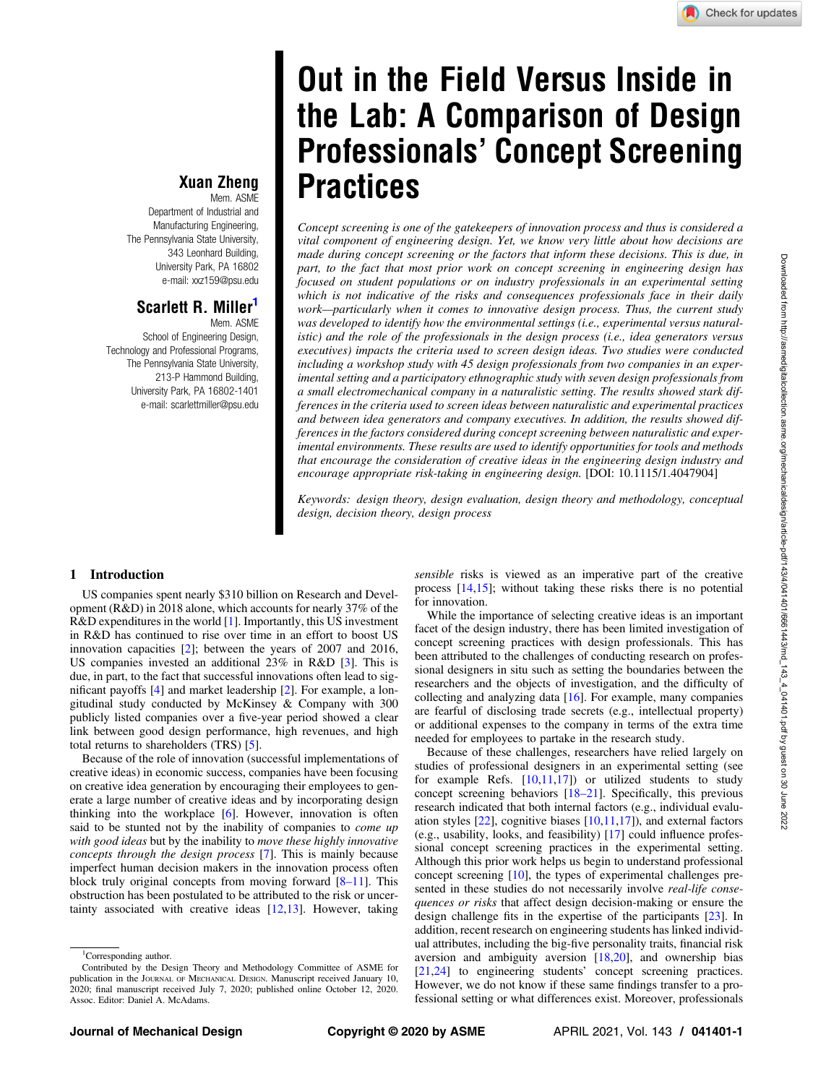# Out in the Field Versus Inside in the Lab: A Comparison of Design Professionals' Concept Screening **Practices**

Concept screening is one of the gatekeepers of innovation process and thus is considered a vital component of engineering design. Yet, we know very little about how decisions are made during concept screening or the factors that inform these decisions. This is due, in part, to the fact that most prior work on concept screening in engineering design has focused on student populations or on industry professionals in an experimental setting which is not indicative of the risks and consequences professionals face in their daily work—particularly when it comes to innovative design process. Thus, the current study was developed to identify how the environmental settings (i.e., experimental versus naturalistic) and the role of the professionals in the design process (i.e., idea generators versus executives) impacts the criteria used to screen design ideas. Two studies were conducted including a workshop study with 45 design professionals from two companies in an experimental setting and a participatory ethnographic study with seven design professionals from a small electromechanical company in a naturalistic setting. The results showed stark differences in the criteria used to screen ideas between naturalistic and experimental practices and between idea generators and company executives. In addition, the results showed differences in the factors considered during concept screening between naturalistic and experimental environments. These results are used to identify opportunities for tools and methods that encourage the consideration of creative ideas in the engineering design industry and encourage appropriate risk-taking in engineering design. [DOI: 10.1115/1.4047904]

Keywords: design theory, design evaluation, design theory and methodology, conceptual design, decision theory, design process

## Xuan Zheng

Mem. ASME Department of Industrial and Manufacturing Engineering, The Pennsylvania State University, 343 Leonhard Building, University Park, PA 16802 e-mail: [xxz159@psu.edu](mailto:xxz159@psu.edu)

# Scarlett R. Miller<sup>1</sup>

Mem. ASME School of Engineering Design, Technology and Professional Programs, The Pennsylvania State University, 213-P Hammond Building, University Park, PA 16802-1401 e-mail: [scarlettmiller@psu.edu](mailto:scarlettmiller@psu.edu)

### 1 Introduction

US companies spent nearly \$310 billion on Research and Development (R&D) in 2018 alone, which accounts for nearly 37% of the R&D expenditures in the world [[1](#page-11-0)]. Importantly, this US investment in R&D has continued to rise over time in an effort to boost US innovation capacities [\[2\]](#page-11-0); between the years of 2007 and 2016, US companies invested an additional 23% in R&D [[3](#page-11-0)]. This is due, in part, to the fact that successful innovations often lead to significant payoffs [[4](#page-11-0)] and market leadership [[2](#page-11-0)]. For example, a longitudinal study conducted by McKinsey & Company with 300 publicly listed companies over a five-year period showed a clear link between good design performance, high revenues, and high total returns to shareholders (TRS) [[5](#page-11-0)].

Because of the role of innovation (successful implementations of creative ideas) in economic success, companies have been focusing on creative idea generation by encouraging their employees to generate a large number of creative ideas and by incorporating design thinking into the workplace [[6](#page-11-0)]. However, innovation is often said to be stunted not by the inability of companies to *come up* with good ideas but by the inability to move these highly innovative concepts through the design process [[7](#page-11-0)]. This is mainly because imperfect human decision makers in the innovation process often block truly original concepts from moving forward  $[8-11]$ . This obstruction has been postulated to be attributed to the risk or uncertainty associated with creative ideas [\[12,13](#page-11-0)]. However, taking

sensible risks is viewed as an imperative part of the creative process [[14,15\]](#page-11-0); without taking these risks there is no potential for innovation.

While the importance of selecting creative ideas is an important facet of the design industry, there has been limited investigation of concept screening practices with design professionals. This has been attributed to the challenges of conducting research on professional designers in situ such as setting the boundaries between the researchers and the objects of investigation, and the difficulty of collecting and analyzing data  $[16]$  $[16]$ . For example, many companies are fearful of disclosing trade secrets (e.g., intellectual property) or additional expenses to the company in terms of the extra time needed for employees to partake in the research study.

Because of these challenges, researchers have relied largely on studies of professional designers in an experimental setting (see for example Refs.  $[10,11,17]$  $[10,11,17]$  $[10,11,17]$  or utilized students to study concept screening behaviors [18–21]. Specifically, this previous research indicated that both internal factors (e.g., individual evaluation styles  $[22]$  $[22]$ , cognitive biases  $[10,11,17]$  $[10,11,17]$  $[10,11,17]$ ), and external factors (e.g., usability, looks, and feasibility) [[17\]](#page-11-0) could influence professional concept screening practices in the experimental setting. Although this prior work helps us begin to understand professional concept screening [\[10](#page-11-0)], the types of experimental challenges presented in these studies do not necessarily involve *real-life conse*quences or risks that affect design decision-making or ensure the design challenge fits in the expertise of the participants [[23\]](#page-11-0). In addition, recent research on engineering students has linked individual attributes, including the big-five personality traits, financial risk aversion and ambiguity aversion  $[18,20]$  $[18,20]$  $[18,20]$ , and ownership bias [[21,24](#page-11-0)] to engineering students' concept screening practices. However, we do not know if these same findings transfer to a professional setting or what differences exist. Moreover, professionals

<sup>&</sup>lt;sup>1</sup>Corresponding author.

Contributed by the Design Theory and Methodology Committee of ASME for publication in the JOURNAL OF MECHANICAL DESIGN. Manuscript received January 10, 2020; final manuscript received July 7, 2020; published online October 12, 2020. Assoc. Editor: Daniel A. McAdams.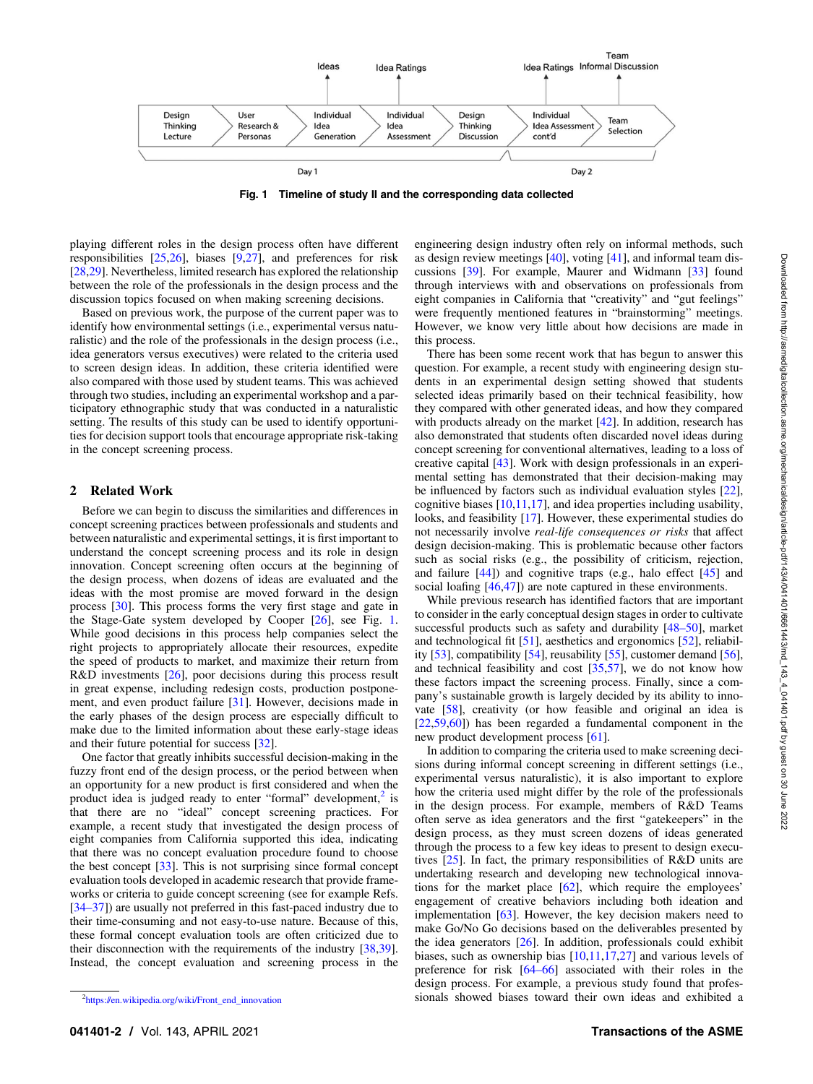Fig. 1 Timeline of study II and the corresponding data collected

<span id="page-1-0"></span>playing different roles in the design process often have different responsibilities [[25,26\]](#page-11-0), biases [[9,27](#page-11-0)], and preferences for risk [[28,29](#page-11-0)]. Nevertheless, limited research has explored the relationship between the role of the professionals in the design process and the discussion topics focused on when making screening decisions.

Based on previous work, the purpose of the current paper was to identify how environmental settings (i.e., experimental versus naturalistic) and the role of the professionals in the design process (i.e., idea generators versus executives) were related to the criteria used to screen design ideas. In addition, these criteria identified were also compared with those used by student teams. This was achieved through two studies, including an experimental workshop and a participatory ethnographic study that was conducted in a naturalistic setting. The results of this study can be used to identify opportunities for decision support tools that encourage appropriate risk-taking in the concept screening process.

### 2 Related Work

Before we can begin to discuss the similarities and differences in concept screening practices between professionals and students and between naturalistic and experimental settings, it is first important to understand the concept screening process and its role in design innovation. Concept screening often occurs at the beginning of the design process, when dozens of ideas are evaluated and the ideas with the most promise are moved forward in the design process [\[30](#page-11-0)]. This process forms the very first stage and gate in the Stage-Gate system developed by Cooper [\[26](#page-11-0)], see Fig. 1. While good decisions in this process help companies select the right projects to appropriately allocate their resources, expedite the speed of products to market, and maximize their return from R&D investments [\[26](#page-11-0)], poor decisions during this process result in great expense, including redesign costs, production postponement, and even product failure [[31\]](#page-11-0). However, decisions made in the early phases of the design process are especially difficult to make due to the limited information about these early-stage ideas and their future potential for success [[32\]](#page-11-0).

One factor that greatly inhibits successful decision-making in the fuzzy front end of the design process, or the period between when an opportunity for a new product is first considered and when the product idea is judged ready to enter "formal" development, $<sup>2</sup>$  is</sup> that there are no "ideal" concept screening practices. For example, a recent study that investigated the design process of eight companies from California supported this idea, indicating that there was no concept evaluation procedure found to choose the best concept [\[33](#page-11-0)]. This is not surprising since formal concept evaluation tools developed in academic research that provide frameworks or criteria to guide concept screening (see for example Refs. [34–37]) are usually not preferred in this fast-paced industry due to their time-consuming and not easy-to-use nature. Because of this, these formal concept evaluation tools are often criticized due to their disconnection with the requirements of the industry [[38,39\]](#page-11-0). Instead, the concept evaluation and screening process in the engineering design industry often rely on informal methods, such as design review meetings [[40\]](#page-11-0), voting [\[41](#page-11-0)], and informal team discussions [[39\]](#page-11-0). For example, Maurer and Widmann [\[33](#page-11-0)] found through interviews with and observations on professionals from eight companies in California that "creativity" and "gut feelings" were frequently mentioned features in "brainstorming" meetings. However, we know very little about how decisions are made in this process.

There has been some recent work that has begun to answer this question. For example, a recent study with engineering design students in an experimental design setting showed that students selected ideas primarily based on their technical feasibility, how they compared with other generated ideas, and how they compared with products already on the market [\[42](#page-11-0)]. In addition, research has also demonstrated that students often discarded novel ideas during concept screening for conventional alternatives, leading to a loss of creative capital [[43\]](#page-12-0). Work with design professionals in an experimental setting has demonstrated that their decision-making may be influenced by factors such as individual evaluation styles [[22\]](#page-11-0), cognitive biases [\[10](#page-11-0),[11,17\]](#page-11-0), and idea properties including usability, looks, and feasibility [\[17](#page-11-0)]. However, these experimental studies do not necessarily involve real-life consequences or risks that affect design decision-making. This is problematic because other factors such as social risks (e.g., the possibility of criticism, rejection, and failure  $[44]$  $[44]$ ) and cognitive traps (e.g., halo effect  $[45]$  $[45]$  and social loafing  $[46,47]$  $[46,47]$  $[46,47]$ ) are note captured in these environments.

While previous research has identified factors that are important to consider in the early conceptual design stages in order to cultivate successful products such as safety and durability [48–50], market and technological fit  $[51]$  $[51]$ , aesthetics and ergonomics  $[52]$  $[52]$ , reliability [\[53](#page-12-0)], compatibility [[54\]](#page-12-0), reusability [[55\]](#page-12-0), customer demand [[56\]](#page-12-0), and technical feasibility and cost [\[35](#page-11-0),[57\]](#page-12-0), we do not know how these factors impact the screening process. Finally, since a company's sustainable growth is largely decided by its ability to innovate [[58\]](#page-12-0), creativity (or how feasible and original an idea is [[22](#page-11-0)[,59,60](#page-12-0)]) has been regarded a fundamental component in the new product development process [[61\]](#page-12-0).

In addition to comparing the criteria used to make screening decisions during informal concept screening in different settings (i.e., experimental versus naturalistic), it is also important to explore how the criteria used might differ by the role of the professionals in the design process. For example, members of R&D Teams often serve as idea generators and the first "gatekeepers" in the design process, as they must screen dozens of ideas generated through the process to a few key ideas to present to design executives [\[25](#page-11-0)]. In fact, the primary responsibilities of R&D units are undertaking research and developing new technological innovations for the market place [\[62](#page-12-0)], which require the employees' engagement of creative behaviors including both ideation and implementation [\[63](#page-12-0)]. However, the key decision makers need to make Go/No Go decisions based on the deliverables presented by the idea generators [[26\]](#page-11-0). In addition, professionals could exhibit biases, such as ownership bias [\[10,11](#page-11-0),[17](#page-11-0),[27\]](#page-11-0) and various levels of preference for risk [64–66] associated with their roles in the design process. For example, a previous study found that professionals showed biases toward their own ideas and exhibited a

<sup>2</sup> [https://en.wikipedia.org/wiki/Front\\_end\\_innovation](https://en.wikipedia.org/wiki/Front_end_innovation)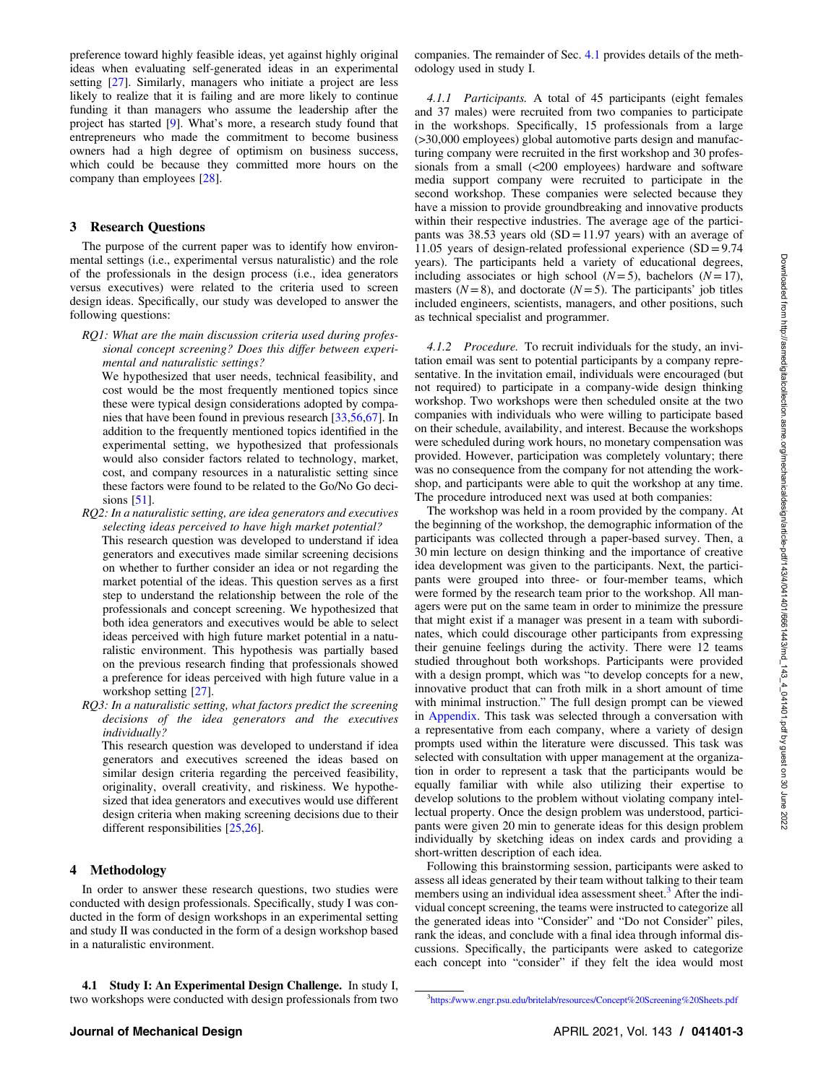preference toward highly feasible ideas, yet against highly original ideas when evaluating self-generated ideas in an experimental setting [[27\]](#page-11-0). Similarly, managers who initiate a project are less likely to realize that it is failing and are more likely to continue funding it than managers who assume the leadership after the project has started [\[9\]](#page-11-0). What's more, a research study found that entrepreneurs who made the commitment to become business owners had a high degree of optimism on business success, which could be because they committed more hours on the company than employees [\[28](#page-11-0)].

### 3 Research Questions

The purpose of the current paper was to identify how environmental settings (i.e., experimental versus naturalistic) and the role of the professionals in the design process (i.e., idea generators versus executives) were related to the criteria used to screen design ideas. Specifically, our study was developed to answer the following questions:

RQ1: What are the main discussion criteria used during professional concept screening? Does this differ between experimental and naturalistic settings?

We hypothesized that user needs, technical feasibility, and cost would be the most frequently mentioned topics since these were typical design considerations adopted by companies that have been found in previous research [[33,](#page-11-0)[56,67](#page-12-0)]. In addition to the frequently mentioned topics identified in the experimental setting, we hypothesized that professionals would also consider factors related to technology, market, cost, and company resources in a naturalistic setting since these factors were found to be related to the Go/No Go decisions [[51\]](#page-12-0).

RQ2: In a naturalistic setting, are idea generators and executives selecting ideas perceived to have high market potential? This research question was developed to understand if idea generators and executives made similar screening decisions on whether to further consider an idea or not regarding the market potential of the ideas. This question serves as a first step to understand the relationship between the role of the professionals and concept screening. We hypothesized that both idea generators and executives would be able to select ideas perceived with high future market potential in a naturalistic environment. This hypothesis was partially based on the previous research finding that professionals showed a preference for ideas perceived with high future value in a workshop setting [\[27](#page-11-0)].

RQ3: In a naturalistic setting, what factors predict the screening decisions of the idea generators and the executives individually?

This research question was developed to understand if idea generators and executives screened the ideas based on similar design criteria regarding the perceived feasibility, originality, overall creativity, and riskiness. We hypothesized that idea generators and executives would use different design criteria when making screening decisions due to their different responsibilities [[25](#page-11-0),[26\]](#page-11-0).

### 4 Methodology

In order to answer these research questions, two studies were conducted with design professionals. Specifically, study I was conducted in the form of design workshops in an experimental setting and study II was conducted in the form of a design workshop based in a naturalistic environment.

4.1 Study I: An Experimental Design Challenge. In study I, two workshops were conducted with design professionals from two companies. The remainder of Sec. 4.1 provides details of the methodology used in study I.

4.1.1 Participants. A total of 45 participants (eight females and 37 males) were recruited from two companies to participate in the workshops. Specifically, 15 professionals from a large (>30,000 employees) global automotive parts design and manufacturing company were recruited in the first workshop and 30 professionals from a small (<200 employees) hardware and software media support company were recruited to participate in the second workshop. These companies were selected because they have a mission to provide groundbreaking and innovative products within their respective industries. The average age of the participants was  $38.53$  years old  $(SD = 11.97$  years) with an average of 11.05 years of design-related professional experience  $(SD = 9.74)$ years). The participants held a variety of educational degrees, including associates or high school ( $N=5$ ), bachelors ( $N=17$ ), masters  $(N=8)$ , and doctorate  $(N=5)$ . The participants' job titles included engineers, scientists, managers, and other positions, such as technical specialist and programmer.

4.1.2 Procedure. To recruit individuals for the study, an invitation email was sent to potential participants by a company representative. In the invitation email, individuals were encouraged (but not required) to participate in a company-wide design thinking workshop. Two workshops were then scheduled onsite at the two companies with individuals who were willing to participate based on their schedule, availability, and interest. Because the workshops were scheduled during work hours, no monetary compensation was provided. However, participation was completely voluntary; there was no consequence from the company for not attending the workshop, and participants were able to quit the workshop at any time. The procedure introduced next was used at both companies:

The workshop was held in a room provided by the company. At the beginning of the workshop, the demographic information of the participants was collected through a paper-based survey. Then, a 30 min lecture on design thinking and the importance of creative idea development was given to the participants. Next, the participants were grouped into three- or four-member teams, which were formed by the research team prior to the workshop. All managers were put on the same team in order to minimize the pressure that might exist if a manager was present in a team with subordinates, which could discourage other participants from expressing their genuine feelings during the activity. There were 12 teams studied throughout both workshops. Participants were provided with a design prompt, which was "to develop concepts for a new, innovative product that can froth milk in a short amount of time with minimal instruction." The full design prompt can be viewed in [Appendix.](#page-10-0) This task was selected through a conversation with a representative from each company, where a variety of design prompts used within the literature were discussed. This task was selected with consultation with upper management at the organization in order to represent a task that the participants would be equally familiar with while also utilizing their expertise to develop solutions to the problem without violating company intellectual property. Once the design problem was understood, participants were given 20 min to generate ideas for this design problem individually by sketching ideas on index cards and providing a short-written description of each idea.

Following this brainstorming session, participants were asked to assess all ideas generated by their team without talking to their team members using an individual idea assessment sheet.<sup>3</sup> After the individual concept screening, the teams were instructed to categorize all the generated ideas into "Consider" and "Do not Consider" piles, rank the ideas, and conclude with a final idea through informal discussions. Specifically, the participants were asked to categorize each concept into "consider" if they felt the idea would most

<sup>3</sup> <https://www.engr.psu.edu/britelab/resources/Concept%20Screening%20Sheets.pdf>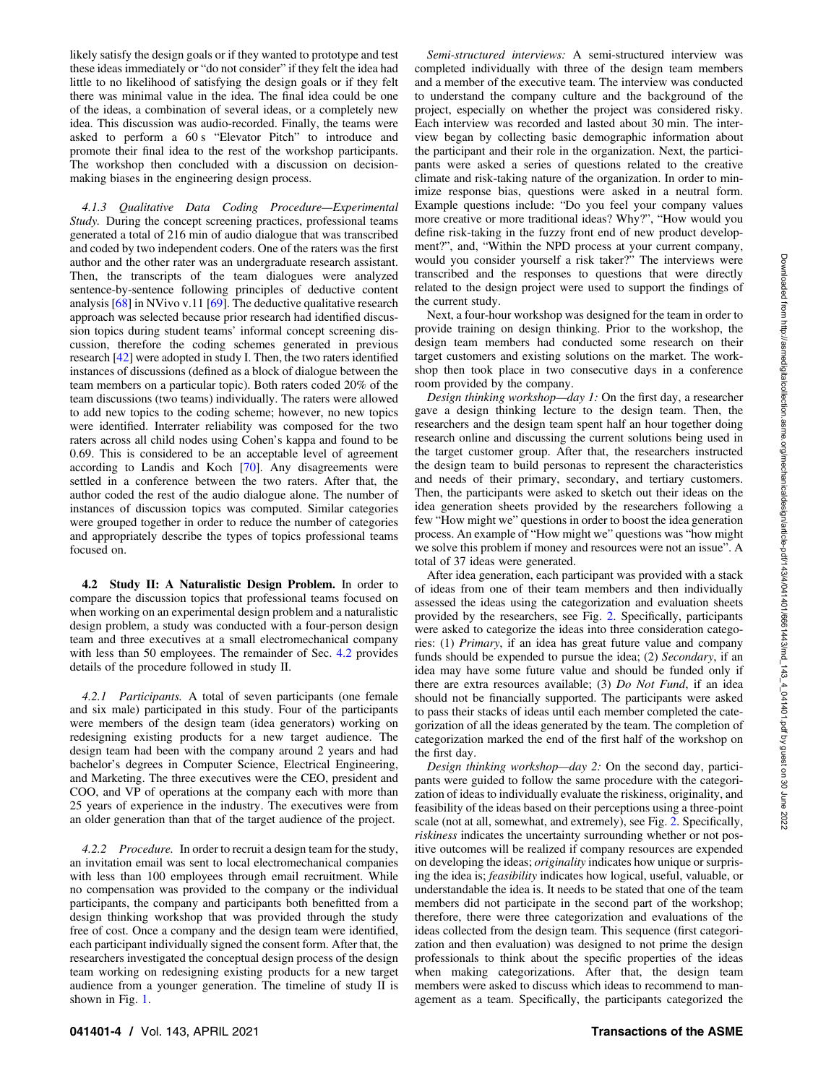likely satisfy the design goals or if they wanted to prototype and test these ideas immediately or "do not consider" if they felt the idea had little to no likelihood of satisfying the design goals or if they felt there was minimal value in the idea. The final idea could be one of the ideas, a combination of several ideas, or a completely new idea. This discussion was audio-recorded. Finally, the teams were asked to perform a 60 s "Elevator Pitch" to introduce and promote their final idea to the rest of the workshop participants. The workshop then concluded with a discussion on decisionmaking biases in the engineering design process.

4.1.3 Qualitative Data Coding Procedure—Experimental Study. During the concept screening practices, professional teams generated a total of 216 min of audio dialogue that was transcribed and coded by two independent coders. One of the raters was the first author and the other rater was an undergraduate research assistant. Then, the transcripts of the team dialogues were analyzed sentence-by-sentence following principles of deductive content analysis [\[68](#page-12-0)] in NVivo v.11 [[69\]](#page-12-0). The deductive qualitative research approach was selected because prior research had identified discussion topics during student teams' informal concept screening discussion, therefore the coding schemes generated in previous research [\[42](#page-11-0)] were adopted in study I. Then, the two raters identified instances of discussions (defined as a block of dialogue between the team members on a particular topic). Both raters coded 20% of the team discussions (two teams) individually. The raters were allowed to add new topics to the coding scheme; however, no new topics were identified. Interrater reliability was composed for the two raters across all child nodes using Cohen's kappa and found to be 0.69. This is considered to be an acceptable level of agreement according to Landis and Koch [\[70](#page-12-0)]. Any disagreements were settled in a conference between the two raters. After that, the author coded the rest of the audio dialogue alone. The number of instances of discussion topics was computed. Similar categories were grouped together in order to reduce the number of categories and appropriately describe the types of topics professional teams focused on.

4.2 Study II: A Naturalistic Design Problem. In order to compare the discussion topics that professional teams focused on when working on an experimental design problem and a naturalistic design problem, a study was conducted with a four-person design team and three executives at a small electromechanical company with less than 50 employees. The remainder of Sec. 4.2 provides details of the procedure followed in study II.

4.2.1 Participants. A total of seven participants (one female and six male) participated in this study. Four of the participants were members of the design team (idea generators) working on redesigning existing products for a new target audience. The design team had been with the company around 2 years and had bachelor's degrees in Computer Science, Electrical Engineering, and Marketing. The three executives were the CEO, president and COO, and VP of operations at the company each with more than 25 years of experience in the industry. The executives were from an older generation than that of the target audience of the project.

4.2.2 Procedure. In order to recruit a design team for the study, an invitation email was sent to local electromechanical companies with less than 100 employees through email recruitment. While no compensation was provided to the company or the individual participants, the company and participants both benefitted from a design thinking workshop that was provided through the study free of cost. Once a company and the design team were identified, each participant individually signed the consent form. After that, the researchers investigated the conceptual design process of the design team working on redesigning existing products for a new target audience from a younger generation. The timeline of study II is shown in Fig. [1](#page-1-0).

Semi-structured interviews: A semi-structured interview was completed individually with three of the design team members and a member of the executive team. The interview was conducted to understand the company culture and the background of the project, especially on whether the project was considered risky. Each interview was recorded and lasted about 30 min. The interview began by collecting basic demographic information about the participant and their role in the organization. Next, the participants were asked a series of questions related to the creative climate and risk-taking nature of the organization. In order to minimize response bias, questions were asked in a neutral form. Example questions include: "Do you feel your company values more creative or more traditional ideas? Why?", "How would you define risk-taking in the fuzzy front end of new product development?", and, "Within the NPD process at your current company, would you consider yourself a risk taker?" The interviews were transcribed and the responses to questions that were directly related to the design project were used to support the findings of the current study.

Next, a four-hour workshop was designed for the team in order to provide training on design thinking. Prior to the workshop, the design team members had conducted some research on their target customers and existing solutions on the market. The workshop then took place in two consecutive days in a conference room provided by the company.

Design thinking workshop—day 1: On the first day, a researcher gave a design thinking lecture to the design team. Then, the researchers and the design team spent half an hour together doing research online and discussing the current solutions being used in the target customer group. After that, the researchers instructed the design team to build personas to represent the characteristics and needs of their primary, secondary, and tertiary customers. Then, the participants were asked to sketch out their ideas on the idea generation sheets provided by the researchers following a few "How might we" questions in order to boost the idea generation process. An example of "How might we" questions was "how might we solve this problem if money and resources were not an issue". A total of 37 ideas were generated.

After idea generation, each participant was provided with a stack of ideas from one of their team members and then individually assessed the ideas using the categorization and evaluation sheets provided by the researchers, see Fig. [2.](#page-4-0) Specifically, participants were asked to categorize the ideas into three consideration categories: (1) Primary, if an idea has great future value and company funds should be expended to pursue the idea; (2) Secondary, if an idea may have some future value and should be funded only if there are extra resources available; (3) Do Not Fund, if an idea should not be financially supported. The participants were asked to pass their stacks of ideas until each member completed the categorization of all the ideas generated by the team. The completion of categorization marked the end of the first half of the workshop on the first day.

Design thinking workshop—day 2: On the second day, participants were guided to follow the same procedure with the categorization of ideas to individually evaluate the riskiness, originality, and feasibility of the ideas based on their perceptions using a three-point scale (not at all, somewhat, and extremely), see Fig. [2](#page-4-0). Specifically, riskiness indicates the uncertainty surrounding whether or not positive outcomes will be realized if company resources are expended on developing the ideas; *originality* indicates how unique or surprising the idea is; feasibility indicates how logical, useful, valuable, or understandable the idea is. It needs to be stated that one of the team members did not participate in the second part of the workshop; therefore, there were three categorization and evaluations of the ideas collected from the design team. This sequence (first categorization and then evaluation) was designed to not prime the design professionals to think about the specific properties of the ideas when making categorizations. After that, the design team members were asked to discuss which ideas to recommend to management as a team. Specifically, the participants categorized the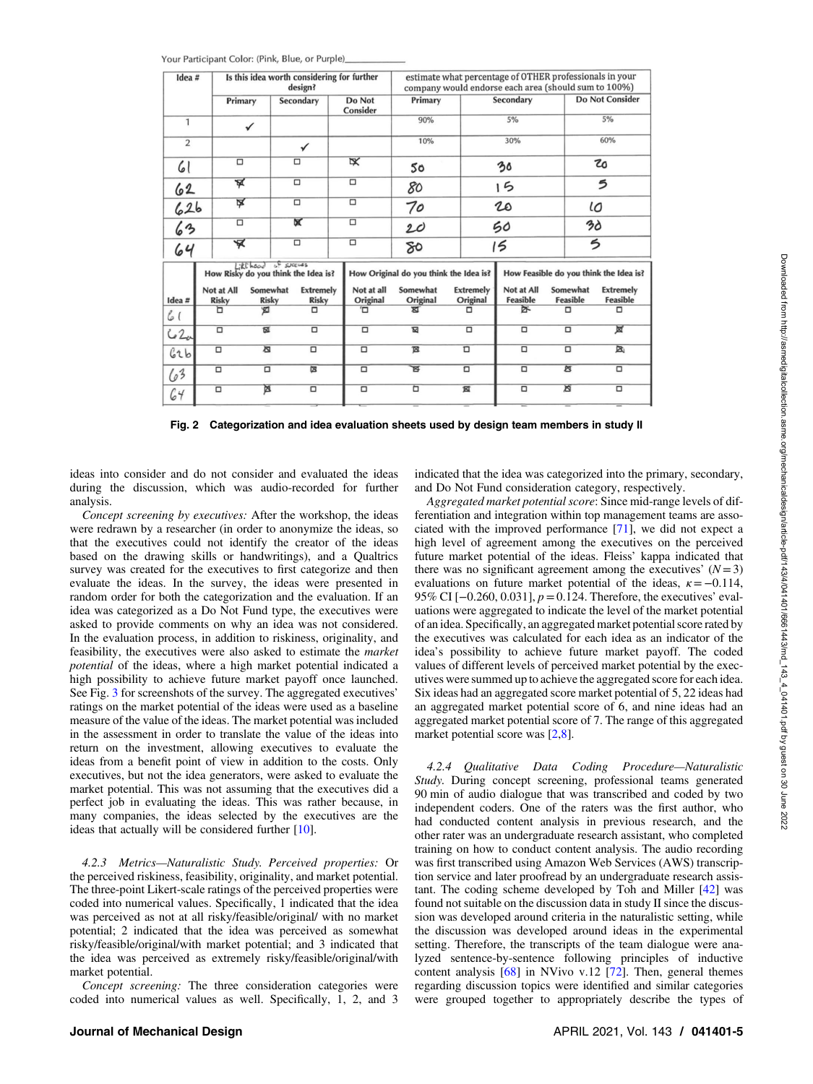<span id="page-4-0"></span>

| Idea #         |         | Is this idea worth considering for further<br>design? |                          |                                     |                                  |                                        |                         | estimate what percentage of OTHER professionals in your<br>company would endorse each area (should sum to 100%) |  |                              |                        |                                        |                        |                                     |  |
|----------------|---------|-------------------------------------------------------|--------------------------|-------------------------------------|----------------------------------|----------------------------------------|-------------------------|-----------------------------------------------------------------------------------------------------------------|--|------------------------------|------------------------|----------------------------------------|------------------------|-------------------------------------|--|
|                |         | Primary                                               |                          | Secondary                           |                                  |                                        | Do Not<br>Consider      | Primary                                                                                                         |  | Secondary                    |                        |                                        | <b>Do Not Consider</b> |                                     |  |
| $\mathbf{1}$   |         | $\checkmark$                                          |                          |                                     |                                  |                                        |                         | 90%                                                                                                             |  | 5%                           |                        |                                        | 5%                     |                                     |  |
| $\overline{2}$ |         |                                                       |                          | ✓                                   |                                  |                                        |                         | 10%                                                                                                             |  | 30%                          |                        | 60%                                    |                        |                                     |  |
| 61             |         | $\Box$                                                |                          | $\Box$                              |                                  |                                        | $\overline{\mathbf{x}}$ | 50                                                                                                              |  | 30                           |                        |                                        | ъ                      |                                     |  |
|                | ¥<br>62 |                                                       |                          | $\Box$                              |                                  |                                        | $\Box$                  | 80                                                                                                              |  | 15                           |                        | 5                                      |                        |                                     |  |
| 626            |         | ⋤                                                     |                          | $\Box$                              |                                  |                                        | $\Box$                  | 70                                                                                                              |  | 20                           |                        | ιo                                     |                        |                                     |  |
| 63             |         | $\overline{\square}$                                  |                          | ×                                   |                                  |                                        | $\overline{\square}$    | 20                                                                                                              |  |                              | 50                     |                                        | 3ò                     |                                     |  |
| 64             |         | ¥                                                     |                          | $\overline{\square}$                |                                  |                                        | $\Box$                  | 80                                                                                                              |  | 15                           |                        |                                        | 5                      |                                     |  |
|                |         | $1: k1 \text{ hod}$                                   | of succuss               | How Risky do you think the Idea is? |                                  | How Original do you think the Idea is? |                         |                                                                                                                 |  |                              |                        | How Feasible do you think the Idea is? |                        |                                     |  |
| Idea #         |         | Not at All<br><b>Risky</b>                            | Somewhat<br><b>Risky</b> |                                     | <b>Extremely</b><br><b>Risky</b> |                                        | Not at all<br>Original  | Somewhat<br>Original                                                                                            |  | <b>Extremely</b><br>Original | Not at All<br>Feasible |                                        | Somewhat<br>Feasible   | <b>Extremely</b><br><b>Feasible</b> |  |
| 6(             |         | Ъ<br>図                                                |                          |                                     | $\Box$                           |                                        | Έ                       | ৰ্ঘ                                                                                                             |  | □                            | ጅ                      |                                        | □                      | □                                   |  |
| c2             |         | 図<br>$\Box$                                           |                          |                                     | □<br>□                           |                                        |                         | $\overline{\mathbf{z}}$                                                                                         |  | □                            | $\Box$                 | $\Box$                                 |                        | 亙                                   |  |
| 62b            |         | 唇<br>$\Box$                                           |                          | $\Box$                              |                                  |                                        | $\overline{\square}$    | $\mathbb{Z}$                                                                                                    |  | $\Box$                       | $\Box$                 | $\Box$                                 |                        | 因                                   |  |
| 63             |         | $\Box$<br>$\Box$                                      |                          | 図                                   |                                  |                                        | $\Box$                  | ਛ                                                                                                               |  | $\overline{\square}$         | 卤<br>$\Box$            |                                        |                        | $\overline{\square}$                |  |
| 64             |         | 亙<br>$\Box$                                           |                          |                                     | $\Box$                           |                                        | $\Box$                  | ▫                                                                                                               |  | 図                            | $\Box$                 | 亙                                      |                        | $\Box$                              |  |
|                |         |                                                       |                          |                                     |                                  |                                        |                         |                                                                                                                 |  |                              |                        |                                        |                        |                                     |  |

Fig. 2 Categorization and idea evaluation sheets used by design team members in study II

ideas into consider and do not consider and evaluated the ideas during the discussion, which was audio-recorded for further analysis.

Concept screening by executives: After the workshop, the ideas were redrawn by a researcher (in order to anonymize the ideas, so that the executives could not identify the creator of the ideas based on the drawing skills or handwritings), and a Qualtrics survey was created for the executives to first categorize and then evaluate the ideas. In the survey, the ideas were presented in random order for both the categorization and the evaluation. If an idea was categorized as a Do Not Fund type, the executives were asked to provide comments on why an idea was not considered. In the evaluation process, in addition to riskiness, originality, and feasibility, the executives were also asked to estimate the market potential of the ideas, where a high market potential indicated a high possibility to achieve future market payoff once launched. See Fig. [3](#page-5-0) for screenshots of the survey. The aggregated executives' ratings on the market potential of the ideas were used as a baseline measure of the value of the ideas. The market potential was included in the assessment in order to translate the value of the ideas into return on the investment, allowing executives to evaluate the ideas from a benefit point of view in addition to the costs. Only executives, but not the idea generators, were asked to evaluate the market potential. This was not assuming that the executives did a perfect job in evaluating the ideas. This was rather because, in many companies, the ideas selected by the executives are the ideas that actually will be considered further [\[10](#page-11-0)].

4.2.3 Metrics—Naturalistic Study. Perceived properties: Or the perceived riskiness, feasibility, originality, and market potential. The three-point Likert-scale ratings of the perceived properties were coded into numerical values. Specifically, 1 indicated that the idea was perceived as not at all risky/feasible/original/ with no market potential; 2 indicated that the idea was perceived as somewhat risky/feasible/original/with market potential; and 3 indicated that the idea was perceived as extremely risky/feasible/original/with market potential.

Concept screening: The three consideration categories were coded into numerical values as well. Specifically, 1, 2, and 3

indicated that the idea was categorized into the primary, secondary, and Do Not Fund consideration category, respectively.

Aggregated market potential score: Since mid-range levels of differentiation and integration within top management teams are associated with the improved performance [[71\]](#page-12-0), we did not expect a high level of agreement among the executives on the perceived future market potential of the ideas. Fleiss' kappa indicated that there was no significant agreement among the executives'  $(N=3)$ evaluations on future market potential of the ideas,  $\kappa = -0.114$ , 95% CI [-0.260, 0.031],  $p = 0.124$ . Therefore, the executives' evaluations were aggregated to indicate the level of the market potential of an idea. Specifically, an aggregated market potential score rated by the executives was calculated for each idea as an indicator of the idea's possibility to achieve future market payoff. The coded values of different levels of perceived market potential by the executives were summed up to achieve the aggregated score for each idea. Six ideas had an aggregated score market potential of 5, 22 ideas had an aggregated market potential score of 6, and nine ideas had an aggregated market potential score of 7. The range of this aggregated market potential score was [\[2,8](#page-11-0)].

4.2.4 Qualitative Data Coding Procedure—Naturalistic Study. During concept screening, professional teams generated 90 min of audio dialogue that was transcribed and coded by two independent coders. One of the raters was the first author, who had conducted content analysis in previous research, and the other rater was an undergraduate research assistant, who completed training on how to conduct content analysis. The audio recording was first transcribed using Amazon Web Services (AWS) transcription service and later proofread by an undergraduate research assistant. The coding scheme developed by Toh and Miller [[42\]](#page-11-0) was found not suitable on the discussion data in study II since the discussion was developed around criteria in the naturalistic setting, while the discussion was developed around ideas in the experimental setting. Therefore, the transcripts of the team dialogue were analyzed sentence-by-sentence following principles of inductive content analysis [\[68](#page-12-0)] in NVivo v.12 [\[72](#page-12-0)]. Then, general themes regarding discussion topics were identified and similar categories were grouped together to appropriately describe the types of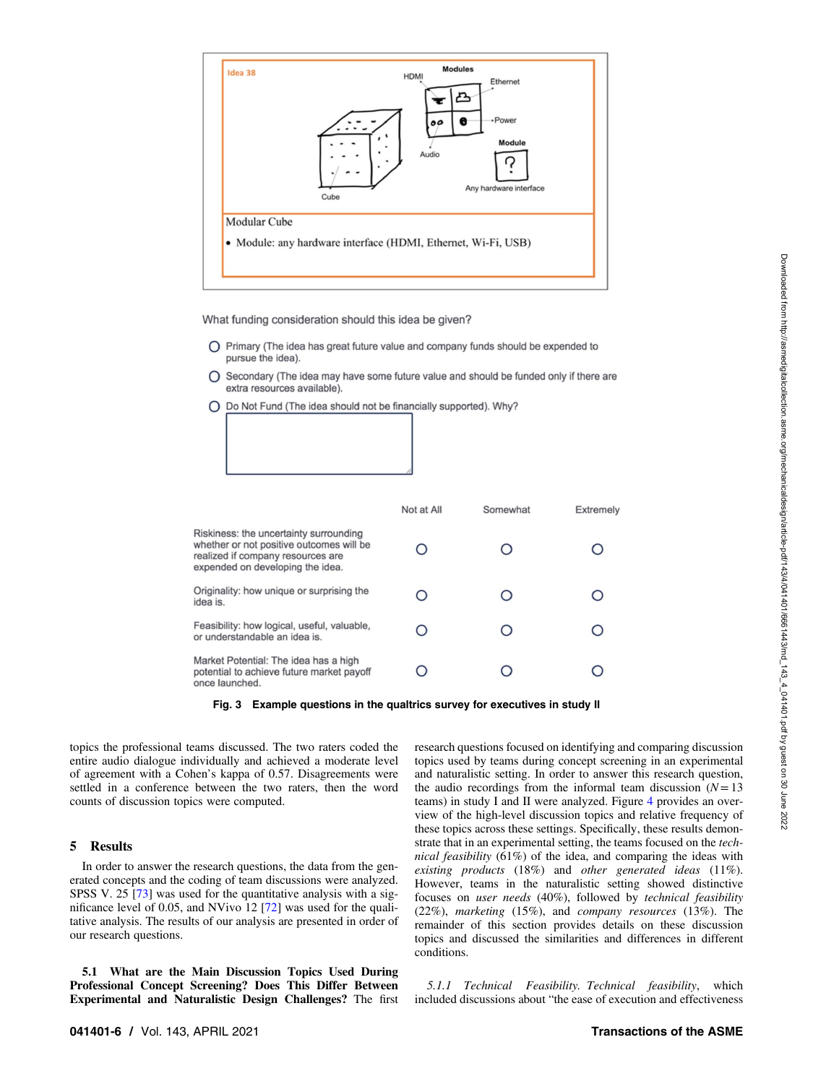<span id="page-5-0"></span>

What funding consideration should this idea be given?

- O Primary (The idea has great future value and company funds should be expended to pursue the idea).
- Secondary (The idea may have some future value and should be funded only if there are extra resources available).
- Do Not Fund (The idea should not be financially supported). Why?

|                                                                                                                                                             | Not at All | Somewhat | <b>Extremely</b> |
|-------------------------------------------------------------------------------------------------------------------------------------------------------------|------------|----------|------------------|
| Riskiness: the uncertainty surrounding<br>whether or not positive outcomes will be<br>realized if company resources are<br>expended on developing the idea. |            |          |                  |
| Originality: how unique or surprising the<br>idea is.                                                                                                       |            |          |                  |
| Feasibility: how logical, useful, valuable,<br>or understandable an idea is.                                                                                | Ο          |          |                  |
| Market Potential: The idea has a high<br>potential to achieve future market payoff<br>hadonicl anno                                                         |            |          |                  |

Fig. 3 Example questions in the qualtrics survey for executives in study II

topics the professional teams discussed. The two raters coded the entire audio dialogue individually and achieved a moderate level of agreement with a Cohen's kappa of 0.57. Disagreements were settled in a conference between the two raters, then the word counts of discussion topics were computed.

### 5 Results

In order to answer the research questions, the data from the generated concepts and the coding of team discussions were analyzed. SPSS V. 25 [[73\]](#page-12-0) was used for the quantitative analysis with a significance level of 0.05, and NVivo 12 [[72\]](#page-12-0) was used for the qualitative analysis. The results of our analysis are presented in order of our research questions.

5.1 What are the Main Discussion Topics Used During Professional Concept Screening? Does This Differ Between Experimental and Naturalistic Design Challenges? The first research questions focused on identifying and comparing discussion topics used by teams during concept screening in an experimental and naturalistic setting. In order to answer this research question, the audio recordings from the informal team discussion  $(N=13)$ teams) in study I and II were analyzed. Figure [4](#page-6-0) provides an overview of the high-level discussion topics and relative frequency of these topics across these settings. Specifically, these results demonstrate that in an experimental setting, the teams focused on the technical feasibility (61%) of the idea, and comparing the ideas with existing products (18%) and other generated ideas (11%). However, teams in the naturalistic setting showed distinctive focuses on user needs (40%), followed by technical feasibility (22%), marketing (15%), and company resources (13%). The remainder of this section provides details on these discussion topics and discussed the similarities and differences in different conditions.

5.1.1 Technical Feasibility. Technical feasibility, which included discussions about "the ease of execution and effectiveness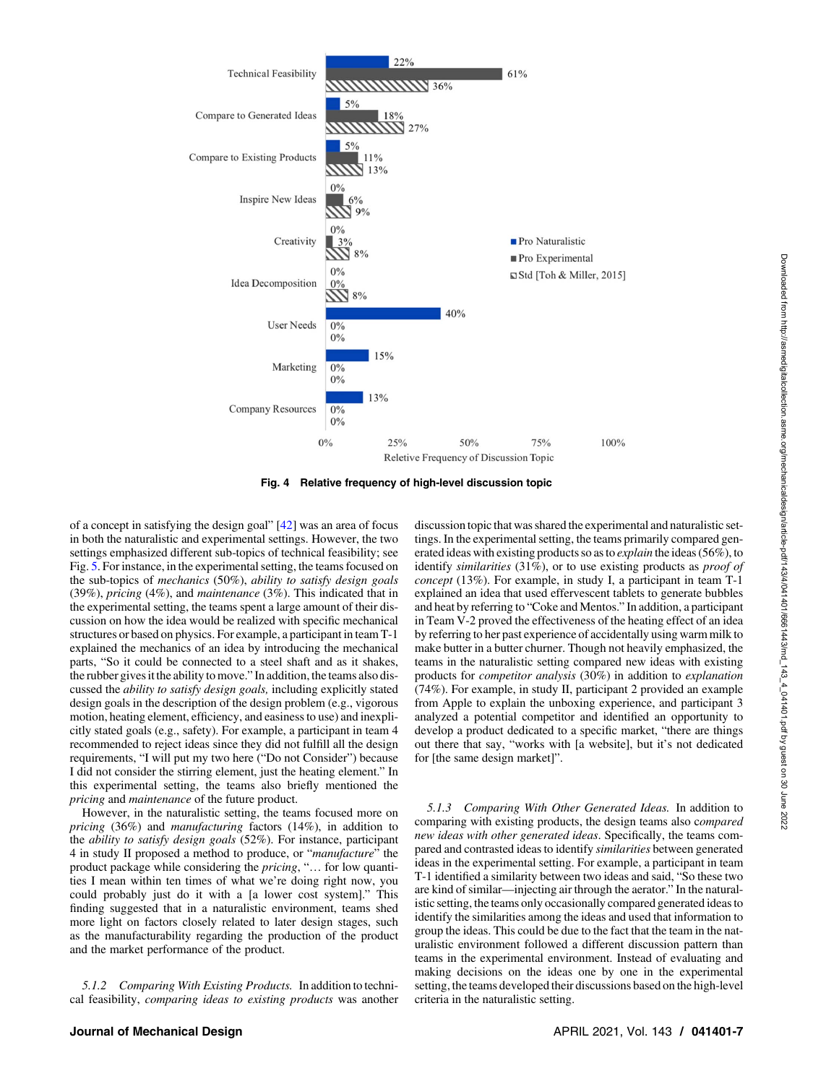<span id="page-6-0"></span>

Fig. 4 Relative frequency of high-level discussion topic

of a concept in satisfying the design goal" [[42\]](#page-11-0) was an area of focus in both the naturalistic and experimental settings. However, the two settings emphasized different sub-topics of technical feasibility; see Fig. [5](#page-7-0). For instance, in the experimental setting, the teams focused on the sub-topics of mechanics (50%), ability to satisfy design goals (39%), pricing (4%), and maintenance (3%). This indicated that in the experimental setting, the teams spent a large amount of their discussion on how the idea would be realized with specific mechanical structures or based on physics. For example, a participant in team T-1 explained the mechanics of an idea by introducing the mechanical parts, "So it could be connected to a steel shaft and as it shakes, the rubber gives it the ability to move." In addition, the teams also discussed the ability to satisfy design goals, including explicitly stated design goals in the description of the design problem (e.g., vigorous motion, heating element, efficiency, and easiness to use) and inexplicitly stated goals (e.g., safety). For example, a participant in team 4 recommended to reject ideas since they did not fulfill all the design requirements, "I will put my two here ("Do not Consider") because I did not consider the stirring element, just the heating element." In this experimental setting, the teams also briefly mentioned the pricing and maintenance of the future product.

However, in the naturalistic setting, the teams focused more on pricing (36%) and manufacturing factors (14%), in addition to the ability to satisfy design goals (52%). For instance, participant 4 in study II proposed a method to produce, or "manufacture" the product package while considering the *pricing*, "... for low quantities I mean within ten times of what we're doing right now, you could probably just do it with a [a lower cost system]." This finding suggested that in a naturalistic environment, teams shed more light on factors closely related to later design stages, such as the manufacturability regarding the production of the product and the market performance of the product.

5.1.2 Comparing With Existing Products. In addition to technical feasibility, comparing ideas to existing products was another discussion topic that was shared the experimental and naturalistic settings. In the experimental setting, the teams primarily compared generated ideas with existing products so as to *explain* the ideas (56%), to identify similarities (31%), or to use existing products as proof of concept (13%). For example, in study I, a participant in team T-1 explained an idea that used effervescent tablets to generate bubbles and heat by referring to "Coke and Mentos." In addition, a participant in Team V-2 proved the effectiveness of the heating effect of an idea by referring to her past experience of accidentally using warm milk to make butter in a butter churner. Though not heavily emphasized, the teams in the naturalistic setting compared new ideas with existing products for competitor analysis (30%) in addition to explanation (74%). For example, in study II, participant 2 provided an example from Apple to explain the unboxing experience, and participant 3 analyzed a potential competitor and identified an opportunity to develop a product dedicated to a specific market, "there are things out there that say, "works with [a website], but it's not dedicated for [the same design market]".

5.1.3 Comparing With Other Generated Ideas. In addition to comparing with existing products, the design teams also compared new ideas with other generated ideas. Specifically, the teams compared and contrasted ideas to identify similarities between generated ideas in the experimental setting. For example, a participant in team T-1 identified a similarity between two ideas and said, "So these two are kind of similar—injecting air through the aerator." In the naturalistic setting, the teams only occasionally compared generated ideas to identify the similarities among the ideas and used that information to group the ideas. This could be due to the fact that the team in the naturalistic environment followed a different discussion pattern than teams in the experimental environment. Instead of evaluating and making decisions on the ideas one by one in the experimental setting, the teams developed their discussions based on the high-level criteria in the naturalistic setting.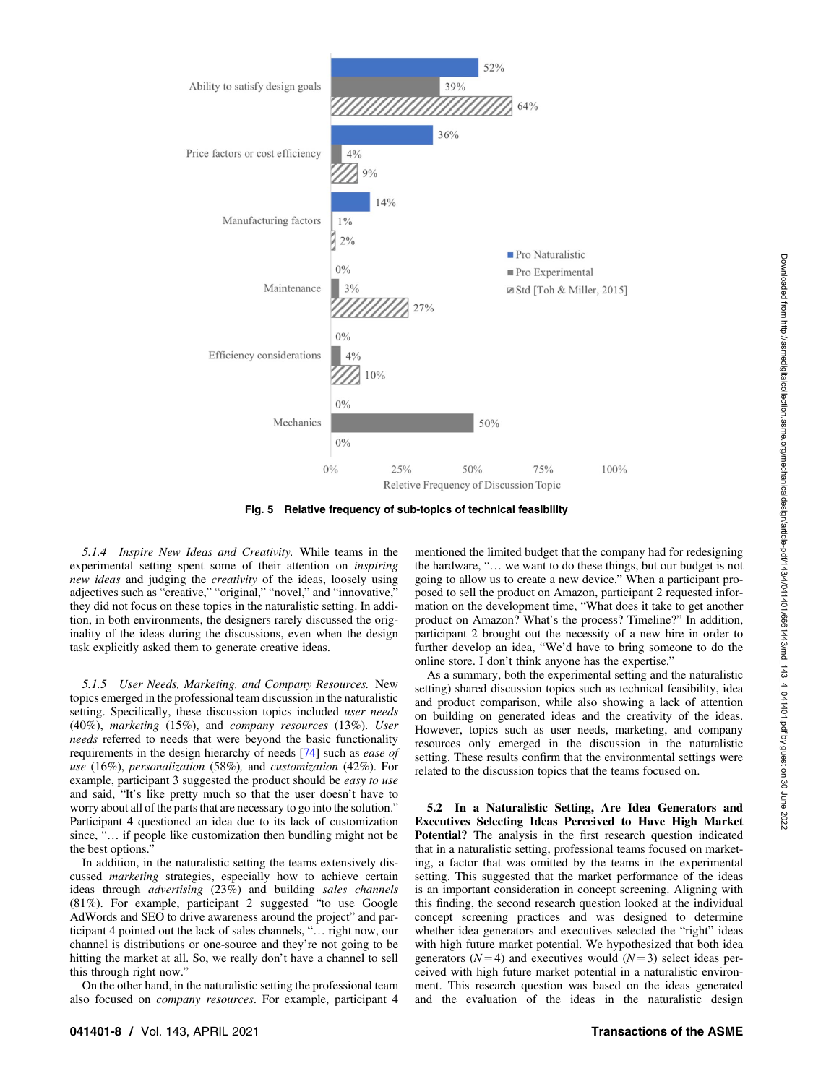

<span id="page-7-0"></span>

Fig. 5 Relative frequency of sub-topics of technical feasibility

5.1.4 Inspire New Ideas and Creativity. While teams in the experimental setting spent some of their attention on inspiring new ideas and judging the creativity of the ideas, loosely using adjectives such as "creative," "original," "novel," and "innovative," they did not focus on these topics in the naturalistic setting. In addition, in both environments, the designers rarely discussed the originality of the ideas during the discussions, even when the design task explicitly asked them to generate creative ideas.

5.1.5 User Needs, Marketing, and Company Resources. New topics emerged in the professional team discussion in the naturalistic setting. Specifically, these discussion topics included *user needs* (40%), marketing (15%), and company resources (13%). User needs referred to needs that were beyond the basic functionality requirements in the design hierarchy of needs [[74\]](#page-12-0) such as ease of use (16%), personalization (58%), and customization (42%). For example, participant 3 suggested the product should be *easy to use* and said, "It's like pretty much so that the user doesn't have to worry about all of the parts that are necessary to go into the solution." Participant 4 questioned an idea due to its lack of customization since, "... if people like customization then bundling might not be the best options."

In addition, in the naturalistic setting the teams extensively discussed *marketing* strategies, especially how to achieve certain ideas through advertising (23%) and building sales channels (81%). For example, participant 2 suggested "to use Google AdWords and SEO to drive awareness around the project" and participant 4 pointed out the lack of sales channels, "… right now, our channel is distributions or one-source and they're not going to be hitting the market at all. So, we really don't have a channel to sell this through right now."

On the other hand, in the naturalistic setting the professional team also focused on company resources. For example, participant 4 mentioned the limited budget that the company had for redesigning the hardware, "… we want to do these things, but our budget is not going to allow us to create a new device." When a participant proposed to sell the product on Amazon, participant 2 requested information on the development time, "What does it take to get another product on Amazon? What's the process? Timeline?" In addition, participant 2 brought out the necessity of a new hire in order to further develop an idea, "We'd have to bring someone to do the online store. I don't think anyone has the expertise."

As a summary, both the experimental setting and the naturalistic setting) shared discussion topics such as technical feasibility, idea and product comparison, while also showing a lack of attention on building on generated ideas and the creativity of the ideas. However, topics such as user needs, marketing, and company resources only emerged in the discussion in the naturalistic setting. These results confirm that the environmental settings were related to the discussion topics that the teams focused on.

5.2 In a Naturalistic Setting, Are Idea Generators and Executives Selecting Ideas Perceived to Have High Market Potential? The analysis in the first research question indicated that in a naturalistic setting, professional teams focused on marketing, a factor that was omitted by the teams in the experimental setting. This suggested that the market performance of the ideas is an important consideration in concept screening. Aligning with this finding, the second research question looked at the individual concept screening practices and was designed to determine whether idea generators and executives selected the "right" ideas with high future market potential. We hypothesized that both idea generators  $(N=4)$  and executives would  $(N=3)$  select ideas perceived with high future market potential in a naturalistic environment. This research question was based on the ideas generated and the evaluation of the ideas in the naturalistic design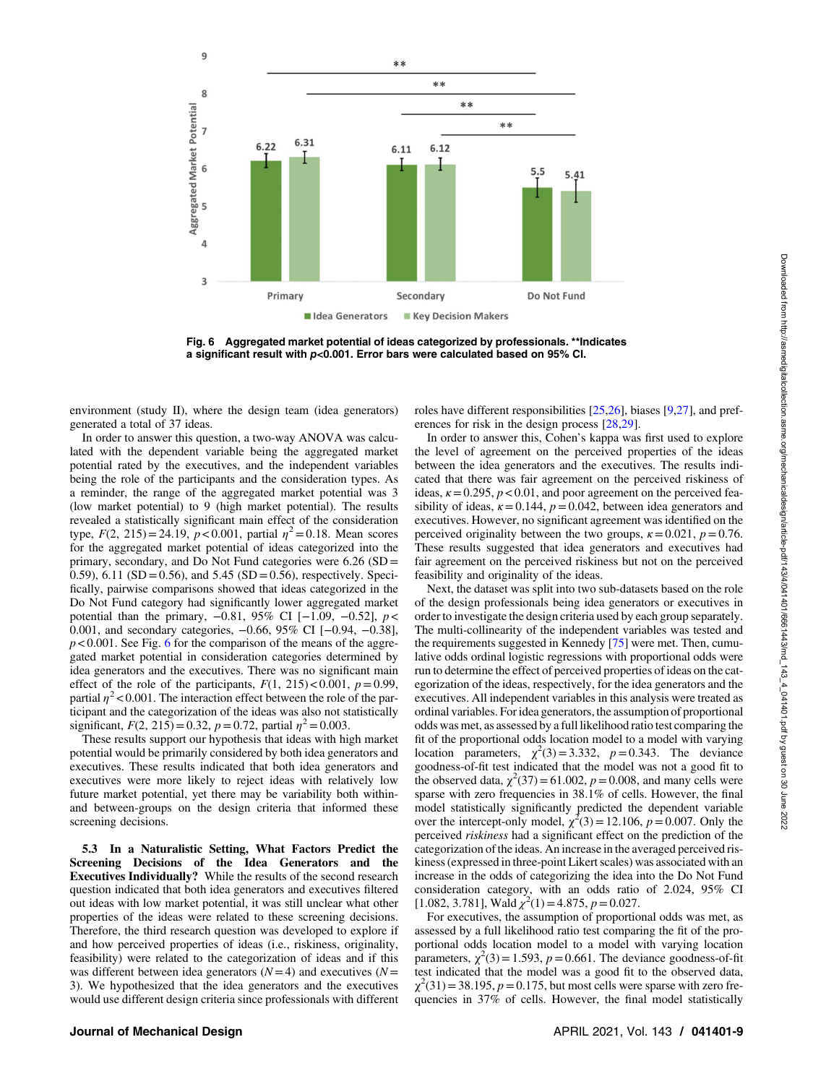

Fig. 6 Aggregated market potential of ideas categorized by professionals. \*\*Indicates a significant result with p<0.001. Error bars were calculated based on 95% CI.

environment (study II), where the design team (idea generators) generated a total of 37 ideas.

In order to answer this question, a two-way ANOVA was calculated with the dependent variable being the aggregated market potential rated by the executives, and the independent variables being the role of the participants and the consideration types. As a reminder, the range of the aggregated market potential was 3 (low market potential) to 9 (high market potential). The results revealed a statistically significant main effect of the consideration type,  $F(2, 215) = 24.19$ ,  $p < 0.001$ , partial  $\eta^2 = 0.18$ . Mean scores for the aggregated market potential of ideas categorized into the primary, secondary, and Do Not Fund categories were 6.26 (SD = 0.59), 6.11 (SD = 0.56), and 5.45 (SD = 0.56), respectively. Specifically, pairwise comparisons showed that ideas categorized in the Do Not Fund category had significantly lower aggregated market potential than the primary,  $-0.81$ , 95% CI [ $-1.09$ ,  $-0.52$ ],  $p <$ 0.001, and secondary categories, −0.66, 95% CI [−0.94, −0.38],  $p < 0.001$ . See Fig. 6 for the comparison of the means of the aggregated market potential in consideration categories determined by idea generators and the executives. There was no significant main effect of the role of the participants,  $F(1, 215) < 0.001$ ,  $p = 0.99$ , partial  $\eta^2$  < 0.001. The interaction effect between the role of the participant and the categorization of the ideas was also not statistically significant,  $F(2, 215) = 0.32$ ,  $p = 0.72$ , partial  $\eta^2 = 0.003$ .

These results support our hypothesis that ideas with high market potential would be primarily considered by both idea generators and executives. These results indicated that both idea generators and executives were more likely to reject ideas with relatively low future market potential, yet there may be variability both withinand between-groups on the design criteria that informed these screening decisions.

5.3 In a Naturalistic Setting, What Factors Predict the Screening Decisions of the Idea Generators and the Executives Individually? While the results of the second research question indicated that both idea generators and executives filtered out ideas with low market potential, it was still unclear what other properties of the ideas were related to these screening decisions. Therefore, the third research question was developed to explore if and how perceived properties of ideas (i.e., riskiness, originality, feasibility) were related to the categorization of ideas and if this was different between idea generators  $(N=4)$  and executives  $(N=$ 3). We hypothesized that the idea generators and the executives would use different design criteria since professionals with different roles have different responsibilities [\[25,26](#page-11-0)], biases [[9,27](#page-11-0)], and preferences for risk in the design process [[28,29](#page-11-0)].

In order to answer this, Cohen's kappa was first used to explore the level of agreement on the perceived properties of the ideas between the idea generators and the executives. The results indicated that there was fair agreement on the perceived riskiness of ideas,  $\kappa = 0.295$ ,  $p < 0.01$ , and poor agreement on the perceived feasibility of ideas,  $\kappa = 0.144$ ,  $p = 0.042$ , between idea generators and executives. However, no significant agreement was identified on the perceived originality between the two groups,  $\kappa = 0.021$ ,  $p = 0.76$ . These results suggested that idea generators and executives had fair agreement on the perceived riskiness but not on the perceived feasibility and originality of the ideas.

Next, the dataset was split into two sub-datasets based on the role of the design professionals being idea generators or executives in order to investigate the design criteria used by each group separately. The multi-collinearity of the independent variables was tested and the requirements suggested in Kennedy [\[75](#page-12-0)] were met. Then, cumulative odds ordinal logistic regressions with proportional odds were run to determine the effect of perceived properties of ideas on the categorization of the ideas, respectively, for the idea generators and the executives. All independent variables in this analysis were treated as ordinal variables. For idea generators, the assumption of proportional odds was met, as assessed by a full likelihood ratio test comparing the fit of the proportional odds location model to a model with varying location parameters,  $\chi^2(3) = 3.332$ ,  $p = 0.343$ . The deviance goodness-of-fit test indicated that the model was not a good fit to the observed data,  $\chi^2(37)$  = 61.002,  $p = 0.008$ , and many cells were sparse with zero frequencies in 38.1% of cells. However, the final model statistically significantly predicted the dependent variable over the intercept-only model,  $\chi^2(3) = 12.106$ ,  $p = 0.007$ . Only the perceived riskiness had a significant effect on the prediction of the categorization of the ideas. An increase in the averaged perceived riskiness (expressed in three-point Likert scales) was associated with an increase in the odds of categorizing the idea into the Do Not Fund consideration category, with an odds ratio of 2.024, 95% CI [1.082, 3.781], Wald  $\chi^2(1) = 4.875$ ,  $p = 0.027$ .

For executives, the assumption of proportional odds was met, as assessed by a full likelihood ratio test comparing the fit of the proportional odds location model to a model with varying location parameters,  $\chi^2(3) = 1.593$ ,  $p = 0.661$ . The deviance goodness-of-fit test indicated that the model was a good fit to the observed data,  $\chi^2(31) = 38.195$ ,  $p = 0.175$ , but most cells were sparse with zero frequencies in 37% of cells. However, the final model statistically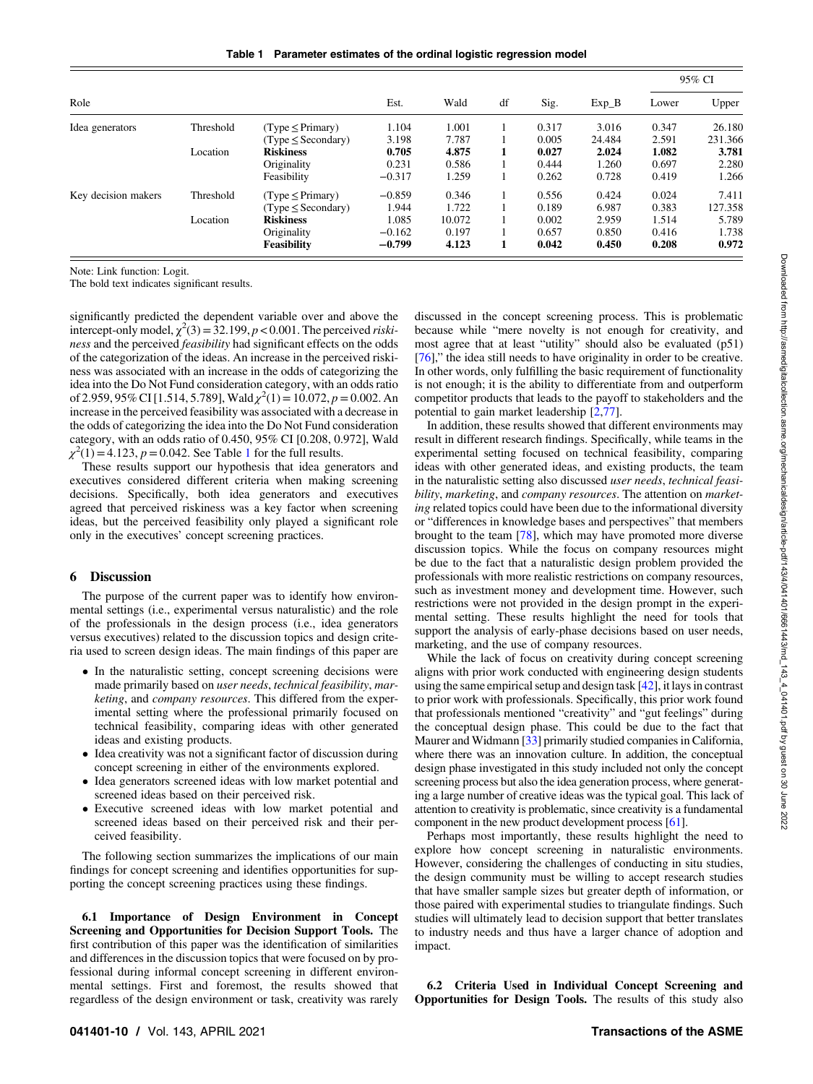Table 1 Parameter estimates of the ordinal logistic regression model

|                     |           |                                       | Wald     |        | Sig. | $Exp_B$ | 95% CI |       |         |
|---------------------|-----------|---------------------------------------|----------|--------|------|---------|--------|-------|---------|
| Role                |           | Est.                                  |          | df     |      |         | Lower  | Upper |         |
| Idea generators     | Threshold | $(Type \leq Primary)$                 | 1.104    | 1.001  |      | 0.317   | 3.016  | 0.347 | 26.180  |
|                     |           | $(\text{Type} \leq \text{Secondary})$ | 3.198    | 7.787  |      | 0.005   | 24.484 | 2.591 | 231.366 |
|                     | Location  | <b>Riskiness</b>                      | 0.705    | 4.875  |      | 0.027   | 2.024  | 1.082 | 3.781   |
|                     |           | Originality                           | 0.231    | 0.586  |      | 0.444   | 1.260  | 0.697 | 2.280   |
|                     |           | Feasibility                           | $-0.317$ | 1.259  |      | 0.262   | 0.728  | 0.419 | 1.266   |
| Key decision makers | Threshold | $(Type \leq Primary)$                 | $-0.859$ | 0.346  |      | 0.556   | 0.424  | 0.024 | 7.411   |
|                     |           | $(\text{Type} \leq \text{Secondary})$ | 1.944    | 1.722  |      | 0.189   | 6.987  | 0.383 | 127.358 |
|                     | Location  | <b>Riskiness</b>                      | 1.085    | 10.072 |      | 0.002   | 2.959  | 1.514 | 5.789   |
|                     |           | Originality                           | $-0.162$ | 0.197  |      | 0.657   | 0.850  | 0.416 | 1.738   |
|                     |           | <b>Feasibility</b>                    | $-0.799$ | 4.123  | 1    | 0.042   | 0.450  | 0.208 | 0.972   |

Note: Link function: Logit.

The bold text indicates significant results.

significantly predicted the dependent variable over and above the intercept-only model,  $\chi^2(3) = 32.199$ ,  $p < 0.001$ . The perceived *riski*ness and the perceived feasibility had significant effects on the odds of the categorization of the ideas. An increase in the perceived riskiness was associated with an increase in the odds of categorizing the idea into the Do Not Fund consideration category, with an odds ratio of 2.959, 95% CI [1.514, 5.789], Wald  $\chi^2(1) = 10.072$ ,  $p = 0.002$ . An increase in the perceived feasibility was associated with a decrease in the odds of categorizing the idea into the Do Not Fund consideration category, with an odds ratio of 0.450, 95% CI [0.208, 0.972], Wald  $\chi^2(1) = 4.123$ ,  $p = 0.042$ . See Table 1 for the full results.

These results support our hypothesis that idea generators and executives considered different criteria when making screening decisions. Specifically, both idea generators and executives agreed that perceived riskiness was a key factor when screening ideas, but the perceived feasibility only played a significant role only in the executives' concept screening practices.

### 6 Discussion

The purpose of the current paper was to identify how environmental settings (i.e., experimental versus naturalistic) and the role of the professionals in the design process (i.e., idea generators versus executives) related to the discussion topics and design criteria used to screen design ideas. The main findings of this paper are

- In the naturalistic setting, concept screening decisions were made primarily based on user needs, technical feasibility, marketing, and company resources. This differed from the experimental setting where the professional primarily focused on technical feasibility, comparing ideas with other generated ideas and existing products.
- Idea creativity was not a significant factor of discussion during concept screening in either of the environments explored.
- Idea generators screened ideas with low market potential and screened ideas based on their perceived risk.
- Executive screened ideas with low market potential and screened ideas based on their perceived risk and their perceived feasibility.

The following section summarizes the implications of our main findings for concept screening and identifies opportunities for supporting the concept screening practices using these findings.

6.1 Importance of Design Environment in Concept Screening and Opportunities for Decision Support Tools. The first contribution of this paper was the identification of similarities and differences in the discussion topics that were focused on by professional during informal concept screening in different environmental settings. First and foremost, the results showed that regardless of the design environment or task, creativity was rarely

discussed in the concept screening process. This is problematic because while "mere novelty is not enough for creativity, and most agree that at least "utility" should also be evaluated (p51) [[76\]](#page-12-0)," the idea still needs to have originality in order to be creative. In other words, only fulfilling the basic requirement of functionality is not enough; it is the ability to differentiate from and outperform competitor products that leads to the payoff to stakeholders and the potential to gain market leadership [[2](#page-11-0),[77\]](#page-12-0).

In addition, these results showed that different environments may result in different research findings. Specifically, while teams in the experimental setting focused on technical feasibility, comparing ideas with other generated ideas, and existing products, the team in the naturalistic setting also discussed user needs, technical feasibility, marketing, and company resources. The attention on marketing related topics could have been due to the informational diversity or "differences in knowledge bases and perspectives" that members brought to the team [[78\]](#page-12-0), which may have promoted more diverse discussion topics. While the focus on company resources might be due to the fact that a naturalistic design problem provided the professionals with more realistic restrictions on company resources, such as investment money and development time. However, such restrictions were not provided in the design prompt in the experimental setting. These results highlight the need for tools that support the analysis of early-phase decisions based on user needs, marketing, and the use of company resources.

While the lack of focus on creativity during concept screening aligns with prior work conducted with engineering design students using the same empirical setup and design task [[42\]](#page-11-0), it lays in contrast to prior work with professionals. Specifically, this prior work found that professionals mentioned "creativity" and "gut feelings" during the conceptual design phase. This could be due to the fact that Maurer and Widmann [[33\]](#page-11-0) primarily studied companies in California, where there was an innovation culture. In addition, the conceptual design phase investigated in this study included not only the concept screening process but also the idea generation process, where generating a large number of creative ideas was the typical goal. This lack of attention to creativity is problematic, since creativity is a fundamental component in the new product development process [\[61\]](#page-12-0).

Perhaps most importantly, these results highlight the need to explore how concept screening in naturalistic environments. However, considering the challenges of conducting in situ studies, the design community must be willing to accept research studies that have smaller sample sizes but greater depth of information, or those paired with experimental studies to triangulate findings. Such studies will ultimately lead to decision support that better translates to industry needs and thus have a larger chance of adoption and impact.

6.2 Criteria Used in Individual Concept Screening and Opportunities for Design Tools. The results of this study also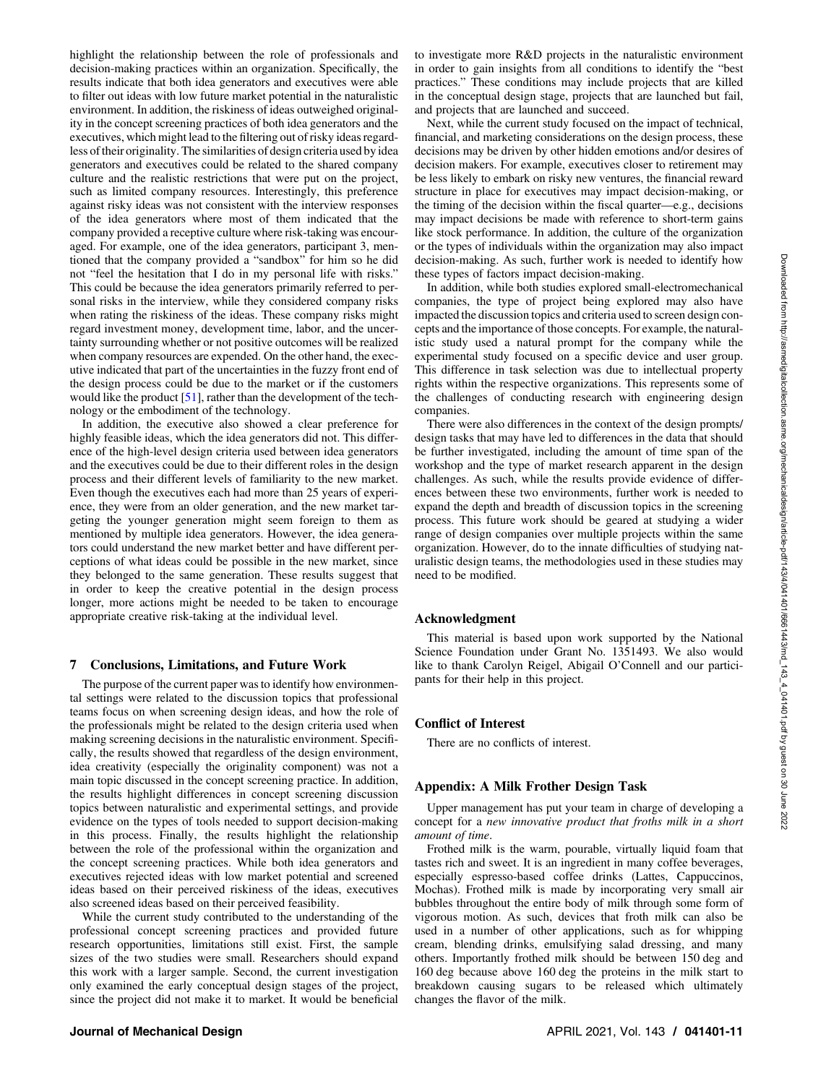<span id="page-10-0"></span>highlight the relationship between the role of professionals and decision-making practices within an organization. Specifically, the results indicate that both idea generators and executives were able to filter out ideas with low future market potential in the naturalistic environment. In addition, the riskiness of ideas outweighed originality in the concept screening practices of both idea generators and the executives, which might lead to the filtering out of risky ideas regardless of their originality. The similarities of design criteria used by idea generators and executives could be related to the shared company culture and the realistic restrictions that were put on the project, such as limited company resources. Interestingly, this preference against risky ideas was not consistent with the interview responses of the idea generators where most of them indicated that the company provided a receptive culture where risk-taking was encouraged. For example, one of the idea generators, participant 3, mentioned that the company provided a "sandbox" for him so he did not "feel the hesitation that I do in my personal life with risks." This could be because the idea generators primarily referred to personal risks in the interview, while they considered company risks when rating the riskiness of the ideas. These company risks might regard investment money, development time, labor, and the uncertainty surrounding whether or not positive outcomes will be realized when company resources are expended. On the other hand, the executive indicated that part of the uncertainties in the fuzzy front end of the design process could be due to the market or if the customers would like the product  $[51]$  $[51]$ , rather than the development of the technology or the embodiment of the technology.

In addition, the executive also showed a clear preference for highly feasible ideas, which the idea generators did not. This difference of the high-level design criteria used between idea generators and the executives could be due to their different roles in the design process and their different levels of familiarity to the new market. Even though the executives each had more than 25 years of experience, they were from an older generation, and the new market targeting the younger generation might seem foreign to them as mentioned by multiple idea generators. However, the idea generators could understand the new market better and have different perceptions of what ideas could be possible in the new market, since they belonged to the same generation. These results suggest that in order to keep the creative potential in the design process longer, more actions might be needed to be taken to encourage appropriate creative risk-taking at the individual level.

### 7 Conclusions, Limitations, and Future Work

The purpose of the current paper was to identify how environmental settings were related to the discussion topics that professional teams focus on when screening design ideas, and how the role of the professionals might be related to the design criteria used when making screening decisions in the naturalistic environment. Specifically, the results showed that regardless of the design environment, idea creativity (especially the originality component) was not a main topic discussed in the concept screening practice. In addition, the results highlight differences in concept screening discussion topics between naturalistic and experimental settings, and provide evidence on the types of tools needed to support decision-making in this process. Finally, the results highlight the relationship between the role of the professional within the organization and the concept screening practices. While both idea generators and executives rejected ideas with low market potential and screened ideas based on their perceived riskiness of the ideas, executives also screened ideas based on their perceived feasibility.

While the current study contributed to the understanding of the professional concept screening practices and provided future research opportunities, limitations still exist. First, the sample sizes of the two studies were small. Researchers should expand this work with a larger sample. Second, the current investigation only examined the early conceptual design stages of the project, since the project did not make it to market. It would be beneficial

to investigate more R&D projects in the naturalistic environment in order to gain insights from all conditions to identify the "best practices." These conditions may include projects that are killed in the conceptual design stage, projects that are launched but fail, and projects that are launched and succeed.

Next, while the current study focused on the impact of technical, financial, and marketing considerations on the design process, these decisions may be driven by other hidden emotions and/or desires of decision makers. For example, executives closer to retirement may be less likely to embark on risky new ventures, the financial reward structure in place for executives may impact decision-making, or the timing of the decision within the fiscal quarter—e.g., decisions may impact decisions be made with reference to short-term gains like stock performance. In addition, the culture of the organization or the types of individuals within the organization may also impact decision-making. As such, further work is needed to identify how these types of factors impact decision-making.

In addition, while both studies explored small-electromechanical companies, the type of project being explored may also have impacted the discussion topics and criteria used to screen design concepts and the importance of those concepts. For example, the naturalistic study used a natural prompt for the company while the experimental study focused on a specific device and user group. This difference in task selection was due to intellectual property rights within the respective organizations. This represents some of the challenges of conducting research with engineering design companies.

There were also differences in the context of the design prompts/ design tasks that may have led to differences in the data that should be further investigated, including the amount of time span of the workshop and the type of market research apparent in the design challenges. As such, while the results provide evidence of differences between these two environments, further work is needed to expand the depth and breadth of discussion topics in the screening process. This future work should be geared at studying a wider range of design companies over multiple projects within the same organization. However, do to the innate difficulties of studying naturalistic design teams, the methodologies used in these studies may need to be modified.

### Acknowledgment

This material is based upon work supported by the National Science Foundation under Grant No. 1351493. We also would like to thank Carolyn Reigel, Abigail O'Connell and our participants for their help in this project.

### Conflict of Interest

There are no conflicts of interest.

### Appendix: A Milk Frother Design Task

Upper management has put your team in charge of developing a concept for a new innovative product that froths milk in a short amount of time.

Frothed milk is the warm, pourable, virtually liquid foam that tastes rich and sweet. It is an ingredient in many coffee beverages, especially espresso-based coffee drinks (Lattes, Cappuccinos, Mochas). Frothed milk is made by incorporating very small air bubbles throughout the entire body of milk through some form of vigorous motion. As such, devices that froth milk can also be used in a number of other applications, such as for whipping cream, blending drinks, emulsifying salad dressing, and many others. Importantly frothed milk should be between 150 deg and 160 deg because above 160 deg the proteins in the milk start to breakdown causing sugars to be released which ultimately changes the flavor of the milk.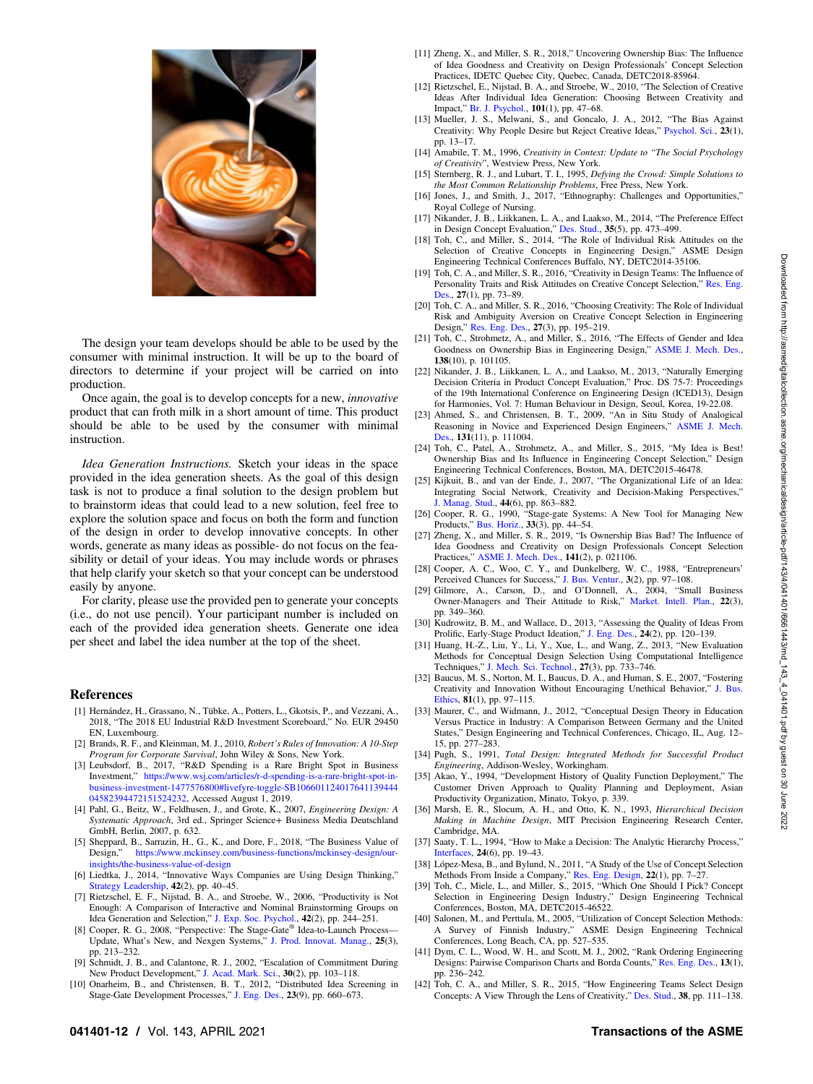<span id="page-11-0"></span>

The design your team develops should be able to be used by the consumer with minimal instruction. It will be up to the board of directors to determine if your project will be carried on into production.

Once again, the goal is to develop concepts for a new, innovative product that can froth milk in a short amount of time. This product should be able to be used by the consumer with minimal instruction.

Idea Generation Instructions. Sketch your ideas in the space provided in the idea generation sheets. As the goal of this design task is not to produce a final solution to the design problem but to brainstorm ideas that could lead to a new solution, feel free to explore the solution space and focus on both the form and function of the design in order to develop innovative concepts. In other words, generate as many ideas as possible- do not focus on the feasibility or detail of your ideas. You may include words or phrases that help clarify your sketch so that your concept can be understood easily by anyone.

For clarity, please use the provided pen to generate your concepts (i.e., do not use pencil). Your participant number is included on each of the provided idea generation sheets. Generate one idea per sheet and label the idea number at the top of the sheet.

### **References**

- [1] Hernández, H., Grassano, N., Tübke, A., Potters, L., Gkotsis, P., and Vezzani, A. 2018, "The 2018 EU Industrial R&D Investment Scoreboard," No. EUR 29450 EN, Luxembourg.
- [2] Brands, R. F., and Kleinman, M. J., 2010, Robert's Rules of Innovation: A 10-Step Program for Corporate Survival, John Wiley & Sons, New York.
- [3] Leubsdorf, B., 2017, "R&D Spending is a Rare Bright Spot in Business Investment," [https://www.wsj.com/articles/r-d-spending-is-a-rare-bright-spot-in](https://www.wsj.com/articles/r-d-spending-is-a-rare-bright-spot-in-business-investment-1477576800#livefyre-toggle-SB10660112401764113944404582394472151524232)[business-investment-1477576800#livefyre-toggle-SB106601124017641139444](https://www.wsj.com/articles/r-d-spending-is-a-rare-bright-spot-in-business-investment-1477576800#livefyre-toggle-SB10660112401764113944404582394472151524232) [04582394472151524232](https://www.wsj.com/articles/r-d-spending-is-a-rare-bright-spot-in-business-investment-1477576800#livefyre-toggle-SB10660112401764113944404582394472151524232), Accessed August 1, 2019.
- [4] Pahl, G., Beitz, W., Feldhusen, J., and Grote, K., 2007, Engineering Design: A Systematic Approach, 3rd ed., Springer Science+ Business Media Deutschland GmbH, Berlin, 2007, p. 632.
- [5] Sheppard, B., Sarrazin, H., G., K., and Dore, F., 2018, "The Business Value of Design," [https://www.mckinsey.com/business-functions/mckinsey-design/our](https://www.mckinsey.com/business-functions/mckinsey-design/our-insights/the-business-value-of-design)[insights/the-business-value-of-design](https://www.mckinsey.com/business-functions/mckinsey-design/our-insights/the-business-value-of-design)
- [6] Liedtka, J., 2014, "Innovative Ways Companies are Using Design Thinking," [Strategy Leadership](http://dx.doi.org/10.1108/SL-01-2014-0004), 42(2), pp. 40–45.
- [7] Rietzschel, E. F., Nijstad, B. A., and Stroebe, W., 2006, "Productivity is Not Enough: A Comparison of Interactive and Nominal Brainstorming Groups on Idea Generation and Selection," [J. Exp. Soc. Psychol.,](http://dx.doi.org/10.1016/j.jesp.2005.04.005) 42(2), pp. 244–251.
- [8] Cooper, R. G., 2008, "Perspective: The Stage-Gate® Idea-to-Launch Process— Update, What's New, and Nexgen Systems," [J. Prod. Innovat. Manag.,](http://dx.doi.org/10.1111/j.1540-5885.2008.00296.x) 25(3), pp. 213–232.
- [9] Schmidt, J. B., and Calantone, R. J., 2002, "Escalation of Commitment During New Product Development," [J. Acad. Mark. Sci.](http://dx.doi.org/10.1177/03079459994362), 30(2), pp. 103–118.
- [10] Onarheim, B., and Christensen, B. T., 2012, "Distributed Idea Screening in Stage-Gate Development Processes," [J. Eng. Des.,](http://dx.doi.org/10.1080/09544828.2011.649426) 23(9), pp. 660–673.
- [11] Zheng, X., and Miller, S. R., 2018," Uncovering Ownership Bias: The Influence of Idea Goodness and Creativity on Design Professionals' Concept Selection Practices, IDETC Quebec City, Quebec, Canada, DETC2018-85964.
- [12] Rietzschel, E., Nijstad, B. A., and Stroebe, W., 2010, "The Selection of Creative Ideas After Individual Idea Generation: Choosing Between Creativity and Impact," [Br. J. Psychol.](http://dx.doi.org/10.1348/000712609X414204), 101(1), pp. 47–68.
- [13] Mueller, J. S., Melwani, S., and Goncalo, J. A., 2012, "The Bias Against Creativity: Why People Desire but Reject Creative Ideas," [Psychol. Sci.](http://dx.doi.org/10.1177/0956797611421018), 23(1), pp. 13–17.
- [14] Amabile, T. M., 1996, Creativity in Context: Update to "The Social Psychology of Creativity", Westview Press, New York.
- [15] Sternberg, R. J., and Lubart, T. I., 1995, Defying the Crowd: Simple Solutions to the Most Common Relationship Problems, Free Press, New York.
- [16] Jones, J., and Smith, J., 2017, "Ethnography: Challenges and Opportunities," Royal College of Nursing.
- [17] Nikander, J. B., Liikkanen, L. A., and Laakso, M., 2014, "The Preference Effect in Design Concept Evaluation," [Des. Stud.,](http://dx.doi.org/10.1016/j.destud.2014.02.006) 35(5), pp. 473–499.
- [18] Toh, C., and Miller, S., 2014, "The Role of Individual Risk Attitudes on the Selection of Creative Concepts in Engineering Design," ASME Design Engineering Technical Conferences Buffalo, NY, DETC2014-35106.
- [19] Toh, C. A., and Miller, S. R., 2016, "Creativity in Design Teams: The Influence of Personality Traits and Risk Attitudes on Creative Concept Selection," [Res. Eng.](http://dx.doi.org/10.1007/s00163-015-0207-y) [Des.,](http://dx.doi.org/10.1007/s00163-015-0207-y) 27(1), pp. 73–89.
- [20] Toh, C. A., and Miller, S. R., 2016, "Choosing Creativity: The Role of Individual Risk and Ambiguity Aversion on Creative Concept Selection in Engineering Design," [Res. Eng. Des.,](http://dx.doi.org/10.1007/s00163-015-0212-1) 27(3), pp. 195–219.
- [21] Toh, C., Strohmetz, A., and Miller, S., 2016, "The Effects of Gender and Idea Goodness on Ownership Bias in Engineering Design," [ASME J. Mech. Des.](http://dx.doi.org/10.1115/1.4034107), 138(10), p. 101105.
- [22] Nikander, J. B., Liikkanen, L. A., and Laakso, M., 2013, "Naturally Emerging Decision Criteria in Product Concept Evaluation," Proc. DS 75-7: Proceedings of the 19th International Conference on Engineering Design (ICED13), Design for Harmonies, Vol. 7: Human Behaviour in Design, Seoul, Korea, 19-22.08.
- [23] Ahmed, S., and Christensen, B. T., 2009, "An in Situ Study of Analogical Reasoning in Novice and Experienced Design Engineers," [ASME J. Mech.](http://dx.doi.org/10.1115/1.3184693) [Des.,](http://dx.doi.org/10.1115/1.3184693) 131(11), p. 111004.
- [24] Toh, C., Patel, A., Strohmetz, A., and Miller, S., 2015, "My Idea is Best! Ownership Bias and Its Influence in Engineering Concept Selection," Design Engineering Technical Conferences, Boston, MA, DETC2015-46478.
- [25] Kijkuit, B., and van der Ende, J., 2007, "The Organizational Life of an Idea: Integrating Social Network, Creativity and Decision-Making Perspectives,' [J. Manag. Stud.,](http://dx.doi.org/10.1111/j.1467-6486.2007.00695.x) 44(6), pp. 863–882.
- [26] Cooper, R. G., 1990, "Stage-gate Systems: A New Tool for Managing New Products," [Bus. Horiz.,](http://dx.doi.org/10.1016/0007-6813(90)90040-I) 33(3), pp. 44–54.
- [27] Zheng, X., and Miller, S. R., 2019, "Is Ownership Bias Bad? The Influence of Idea Goodness and Creativity on Design Professionals Concept Selection Practices," [ASME J. Mech. Des.](http://dx.doi.org/10.1115/1.4042081), 141(2), p. 021106.
- [28] Cooper, A. C., Woo, C. Y., and Dunkelberg, W. C., 1988, "Entrepreneurs' Perceived Chances for Success," [J. Bus. Ventur.,](http://dx.doi.org/10.1016/0883-9026(88)90020-1) 3(2), pp. 97–108.
- [29] Gilmore, A., Carson, D., and O'Donnell, A., 2004, "Small Business Owner-Managers and Their Attitude to Risk," [Market. Intell. Plan.](http://dx.doi.org/10.1108/02634500410536920), 22(3), pp. 349–360.
- [30] Kudrowitz, B. M., and Wallace, D., 2013, "Assessing the Quality of Ideas From Prolific, Early-Stage Product Ideation," [J. Eng. Des.,](http://dx.doi.org/10.1080/09544828.2012.676633) 24(2), pp. 120–139.
- [31] Huang, H.-Z., Liu, Y., Li, Y., Xue, L., and Wang, Z., 2013, "New Evaluation Methods for Conceptual Design Selection Using Computational Intelligence Techniques," [J. Mech. Sci. Technol.,](http://dx.doi.org/10.1007/s12206-013-0123-x) 27(3), pp. 733–746.
- [32] Baucus, M. S., Norton, M. I., Baucus, D. A., and Human, S. E., 2007, "Fostering Creativity and Innovation Without Encouraging Unethical Behavior," [J. Bus.](http://dx.doi.org/10.1007/s10551-007-9483-4) [Ethics,](http://dx.doi.org/10.1007/s10551-007-9483-4) 81(1), pp. 97–115.
- [33] Maurer, C., and Widmann, J., 2012, "Conceptual Design Theory in Education Versus Practice in Industry: A Comparison Between Germany and the United States," Design Engineering and Technical Conferences, Chicago, IL, Aug. 12– 15, pp. 277–283.
- [34] Pugh, S., 1991, Total Design: Integrated Methods for Successful Product Engineering, Addison-Wesley, Workingham.
- [35] Akao, Y., 1994, "Development History of Quality Function Deployment," The Customer Driven Approach to Quality Planning and Deployment, Asian Productivity Organization, Minato, Tokyo, p. 339.
- [36] Marsh, E. R., Slocum, A. H., and Otto, K. N., 1993, Hierarchical Decision Making in Machine Design, MIT Precision Engineering Research Center, Cambridge, MA.
- [37] Saaty, T. L., 1994, "How to Make a Decision: The Analytic Hierarchy Process," [Interfaces](http://dx.doi.org/10.1287/inte.24.6.19), 24(6), pp. 19–43.
- [38] López-Mesa, B., and Bylund, N., 2011, "A Study of the Use of Concept Selection Methods From Inside a Company," [Res. Eng. Design](http://dx.doi.org/10.1007/s00163-010-0093-2), 22(1), pp. 7–27.
- [39] Toh, C., Miele, L., and Miller, S., 2015, "Which One Should I Pick? Concept Selection in Engineering Design Industry," Design Engineering Technical Conferences, Boston, MA, DETC2015-46522.
- [40] Salonen, M., and Perttula, M., 2005, "Utilization of Concept Selection Methods: A Survey of Finnish Industry," ASME Design Engineering Technical Conferences, Long Beach, CA, pp. 527–535.
- [41] Dym, C. L., Wood, W. H., and Scott, M. J., 2002, "Rank Ordering Engineering Designs: Pairwise Comparison Charts and Borda Counts," [Res. Eng. Des.,](http://dx.doi.org/10.1007/s00163-002-0019-8) 13(1), pp. 236–242.
- [42] Toh, C. A., and Miller, S. R., 2015, "How Engineering Teams Select Design Concepts: A View Through the Lens of Creativity," [Des. Stud.](https://dx.doi.org/10.1016/j.destud.2015.03.001), 38, pp. 111–138.